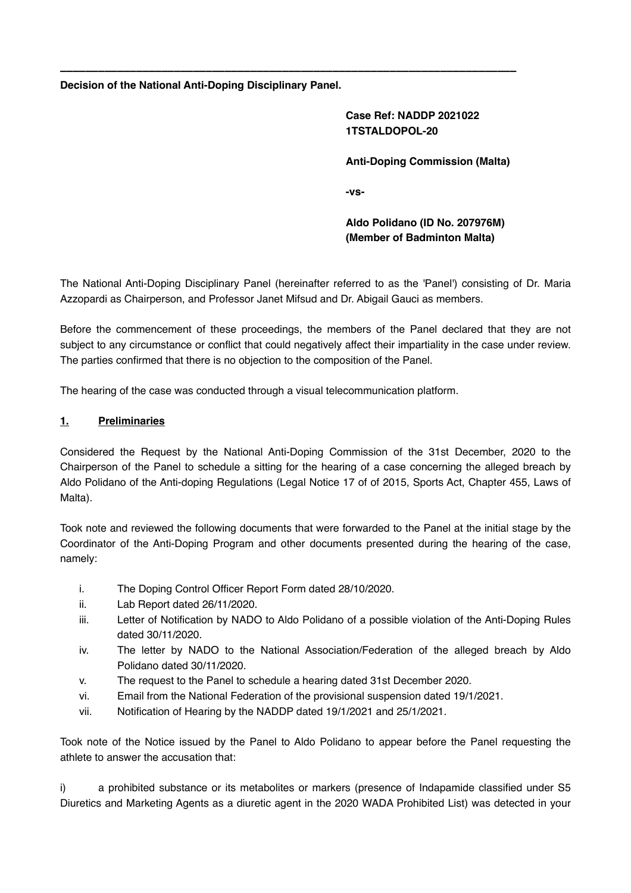**Decision of the National Anti-Doping Disciplinary Panel.**

**Case Ref: NADDP 2021022 1TSTALDOPOL-20**

**Anti-Doping Commission (Malta)**

**-vs-**

**Aldo Polidano (ID No. 207976M) (Member of Badminton Malta)**

The National Anti-Doping Disciplinary Panel (hereinafter referred to as the 'Panel') consisting of Dr. Maria Azzopardi as Chairperson, and Professor Janet Mifsud and Dr. Abigail Gauci as members.

**\_\_\_\_\_\_\_\_\_\_\_\_\_\_\_\_\_\_\_\_\_\_\_\_\_\_\_\_\_\_\_\_\_\_\_\_\_\_\_\_\_\_\_\_\_\_\_\_\_\_\_\_\_\_\_\_\_\_\_\_\_\_\_\_\_\_\_\_\_\_\_\_**

Before the commencement of these proceedings, the members of the Panel declared that they are not subject to any circumstance or conflict that could negatively affect their impartiality in the case under review. The parties confirmed that there is no objection to the composition of the Panel.

The hearing of the case was conducted through a visual telecommunication platform.

## **1. Preliminaries**

Considered the Request by the National Anti-Doping Commission of the 31st December, 2020 to the Chairperson of the Panel to schedule a sitting for the hearing of a case concerning the alleged breach by Aldo Polidano of the Anti-doping Regulations (Legal Notice 17 of of 2015, Sports Act, Chapter 455, Laws of Malta).

Took note and reviewed the following documents that were forwarded to the Panel at the initial stage by the Coordinator of the Anti-Doping Program and other documents presented during the hearing of the case, namely:

- i. The Doping Control Officer Report Form dated 28/10/2020.
- ii. Lab Report dated 26/11/2020.
- iii. Letter of Notification by NADO to Aldo Polidano of a possible violation of the Anti-Doping Rules dated 30/11/2020.
- iv. The letter by NADO to the National Association/Federation of the alleged breach by Aldo Polidano dated 30/11/2020.
- v. The request to the Panel to schedule a hearing dated 31st December 2020.
- vi. Email from the National Federation of the provisional suspension dated 19/1/2021.
- vii. Notification of Hearing by the NADDP dated 19/1/2021 and 25/1/2021.

Took note of the Notice issued by the Panel to Aldo Polidano to appear before the Panel requesting the athlete to answer the accusation that:

i) a prohibited substance or its metabolites or markers (presence of Indapamide classified under S5 Diuretics and Marketing Agents as a diuretic agent in the 2020 WADA Prohibited List) was detected in your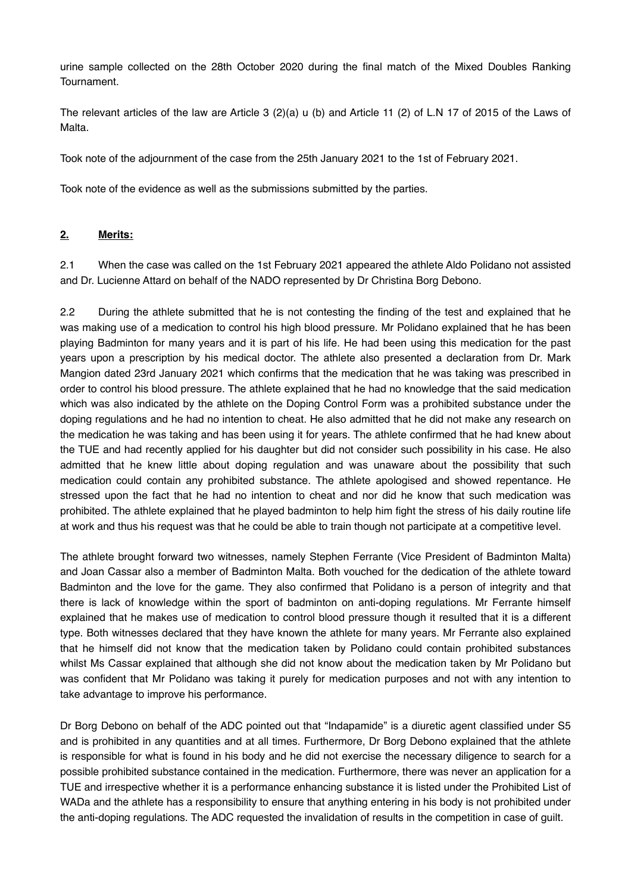urine sample collected on the 28th October 2020 during the final match of the Mixed Doubles Ranking Tournament.

The relevant articles of the law are Article 3 (2)(a) u (b) and Article 11 (2) of L.N 17 of 2015 of the Laws of Malta.

Took note of the adjournment of the case from the 25th January 2021 to the 1st of February 2021.

Took note of the evidence as well as the submissions submitted by the parties.

## **2. Merits:**

2.1 When the case was called on the 1st February 2021 appeared the athlete Aldo Polidano not assisted and Dr. Lucienne Attard on behalf of the NADO represented by Dr Christina Borg Debono.

2.2 During the athlete submitted that he is not contesting the finding of the test and explained that he was making use of a medication to control his high blood pressure. Mr Polidano explained that he has been playing Badminton for many years and it is part of his life. He had been using this medication for the past years upon a prescription by his medical doctor. The athlete also presented a declaration from Dr. Mark Mangion dated 23rd January 2021 which confirms that the medication that he was taking was prescribed in order to control his blood pressure. The athlete explained that he had no knowledge that the said medication which was also indicated by the athlete on the Doping Control Form was a prohibited substance under the doping regulations and he had no intention to cheat. He also admitted that he did not make any research on the medication he was taking and has been using it for years. The athlete confirmed that he had knew about the TUE and had recently applied for his daughter but did not consider such possibility in his case. He also admitted that he knew little about doping regulation and was unaware about the possibility that such medication could contain any prohibited substance. The athlete apologised and showed repentance. He stressed upon the fact that he had no intention to cheat and nor did he know that such medication was prohibited. The athlete explained that he played badminton to help him fight the stress of his daily routine life at work and thus his request was that he could be able to train though not participate at a competitive level.

The athlete brought forward two witnesses, namely Stephen Ferrante (Vice President of Badminton Malta) and Joan Cassar also a member of Badminton Malta. Both vouched for the dedication of the athlete toward Badminton and the love for the game. They also confirmed that Polidano is a person of integrity and that there is lack of knowledge within the sport of badminton on anti-doping regulations. Mr Ferrante himself explained that he makes use of medication to control blood pressure though it resulted that it is a different type. Both witnesses declared that they have known the athlete for many years. Mr Ferrante also explained that he himself did not know that the medication taken by Polidano could contain prohibited substances whilst Ms Cassar explained that although she did not know about the medication taken by Mr Polidano but was confident that Mr Polidano was taking it purely for medication purposes and not with any intention to take advantage to improve his performance.

Dr Borg Debono on behalf of the ADC pointed out that "Indapamide" is a diuretic agent classified under S5 and is prohibited in any quantities and at all times. Furthermore, Dr Borg Debono explained that the athlete is responsible for what is found in his body and he did not exercise the necessary diligence to search for a possible prohibited substance contained in the medication. Furthermore, there was never an application for a TUE and irrespective whether it is a performance enhancing substance it is listed under the Prohibited List of WADa and the athlete has a responsibility to ensure that anything entering in his body is not prohibited under the anti-doping regulations. The ADC requested the invalidation of results in the competition in case of guilt.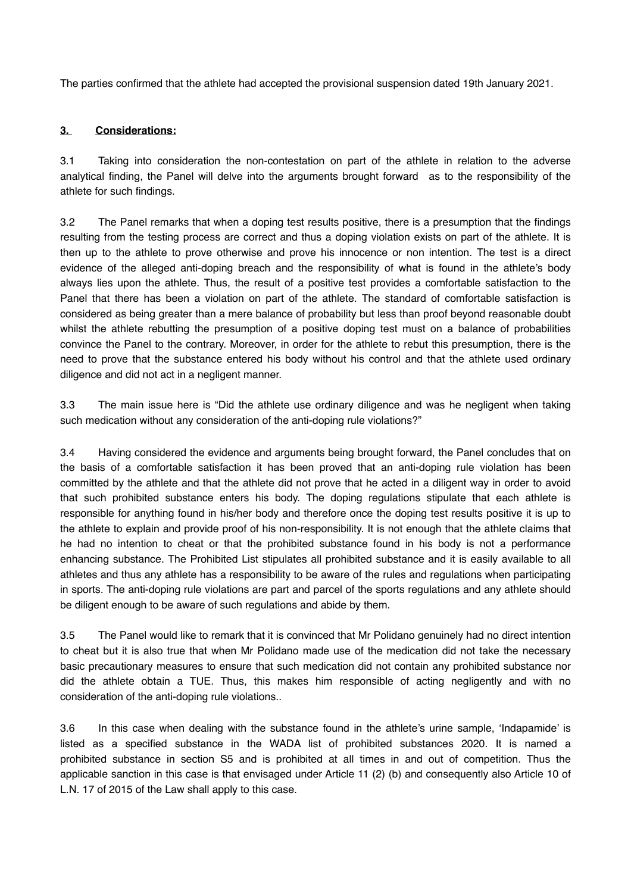The parties confirmed that the athlete had accepted the provisional suspension dated 19th January 2021.

## **3. Considerations:**

3.1 Taking into consideration the non-contestation on part of the athlete in relation to the adverse analytical finding, the Panel will delve into the arguments brought forward as to the responsibility of the athlete for such findings.

3.2 The Panel remarks that when a doping test results positive, there is a presumption that the findings resulting from the testing process are correct and thus a doping violation exists on part of the athlete. It is then up to the athlete to prove otherwise and prove his innocence or non intention. The test is a direct evidence of the alleged anti-doping breach and the responsibility of what is found in the athlete's body always lies upon the athlete. Thus, the result of a positive test provides a comfortable satisfaction to the Panel that there has been a violation on part of the athlete. The standard of comfortable satisfaction is considered as being greater than a mere balance of probability but less than proof beyond reasonable doubt whilst the athlete rebutting the presumption of a positive doping test must on a balance of probabilities convince the Panel to the contrary. Moreover, in order for the athlete to rebut this presumption, there is the need to prove that the substance entered his body without his control and that the athlete used ordinary diligence and did not act in a negligent manner.

3.3 The main issue here is "Did the athlete use ordinary diligence and was he negligent when taking such medication without any consideration of the anti-doping rule violations?"

3.4 Having considered the evidence and arguments being brought forward, the Panel concludes that on the basis of a comfortable satisfaction it has been proved that an anti-doping rule violation has been committed by the athlete and that the athlete did not prove that he acted in a diligent way in order to avoid that such prohibited substance enters his body. The doping regulations stipulate that each athlete is responsible for anything found in his/her body and therefore once the doping test results positive it is up to the athlete to explain and provide proof of his non-responsibility. It is not enough that the athlete claims that he had no intention to cheat or that the prohibited substance found in his body is not a performance enhancing substance. The Prohibited List stipulates all prohibited substance and it is easily available to all athletes and thus any athlete has a responsibility to be aware of the rules and regulations when participating in sports. The anti-doping rule violations are part and parcel of the sports regulations and any athlete should be diligent enough to be aware of such regulations and abide by them.

3.5 The Panel would like to remark that it is convinced that Mr Polidano genuinely had no direct intention to cheat but it is also true that when Mr Polidano made use of the medication did not take the necessary basic precautionary measures to ensure that such medication did not contain any prohibited substance nor did the athlete obtain a TUE. Thus, this makes him responsible of acting negligently and with no consideration of the anti-doping rule violations..

3.6 In this case when dealing with the substance found in the athlete's urine sample, 'Indapamide' is listed as a specified substance in the WADA list of prohibited substances 2020. It is named a prohibited substance in section S5 and is prohibited at all times in and out of competition. Thus the applicable sanction in this case is that envisaged under Article 11 (2) (b) and consequently also Article 10 of L.N. 17 of 2015 of the Law shall apply to this case.